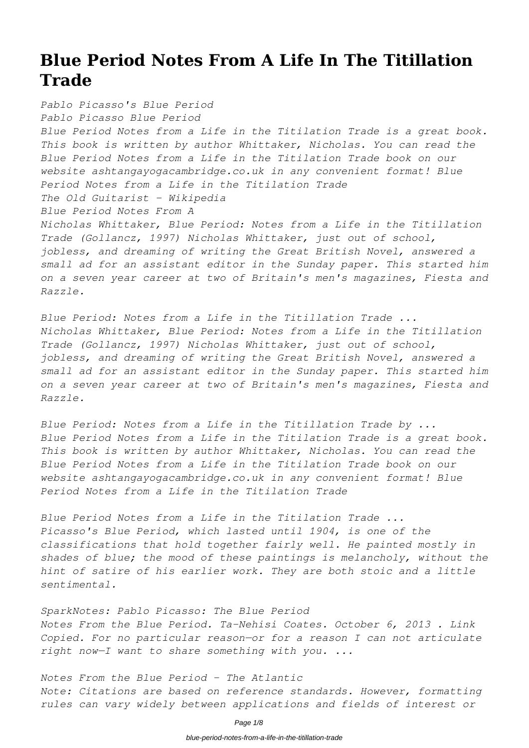# **Blue Period Notes From A Life In The Titillation Trade**

*Pablo Picasso's Blue Period Pablo Picasso Blue Period Blue Period Notes from a Life in the Titilation Trade is a great book. This book is written by author Whittaker, Nicholas. You can read the Blue Period Notes from a Life in the Titilation Trade book on our website ashtangayogacambridge.co.uk in any convenient format! Blue Period Notes from a Life in the Titilation Trade The Old Guitarist - Wikipedia Blue Period Notes From A Nicholas Whittaker, Blue Period: Notes from a Life in the Titillation Trade (Gollancz, 1997) Nicholas Whittaker, just out of school, jobless, and dreaming of writing the Great British Novel, answered a small ad for an assistant editor in the Sunday paper. This started him on a seven year career at two of Britain's men's magazines, Fiesta and Razzle.*

*Blue Period: Notes from a Life in the Titillation Trade ... Nicholas Whittaker, Blue Period: Notes from a Life in the Titillation Trade (Gollancz, 1997) Nicholas Whittaker, just out of school, jobless, and dreaming of writing the Great British Novel, answered a small ad for an assistant editor in the Sunday paper. This started him on a seven year career at two of Britain's men's magazines, Fiesta and Razzle.*

*Blue Period: Notes from a Life in the Titillation Trade by ... Blue Period Notes from a Life in the Titilation Trade is a great book. This book is written by author Whittaker, Nicholas. You can read the Blue Period Notes from a Life in the Titilation Trade book on our website ashtangayogacambridge.co.uk in any convenient format! Blue Period Notes from a Life in the Titilation Trade*

*Blue Period Notes from a Life in the Titilation Trade ... Picasso's Blue Period, which lasted until 1904, is one of the classifications that hold together fairly well. He painted mostly in shades of blue; the mood of these paintings is melancholy, without the hint of satire of his earlier work. They are both stoic and a little sentimental.*

*SparkNotes: Pablo Picasso: The Blue Period Notes From the Blue Period. Ta-Nehisi Coates. October 6, 2013 . Link Copied. For no particular reason—or for a reason I can not articulate right now—I want to share something with you. ...*

*Notes From the Blue Period - The Atlantic Note: Citations are based on reference standards. However, formatting rules can vary widely between applications and fields of interest or*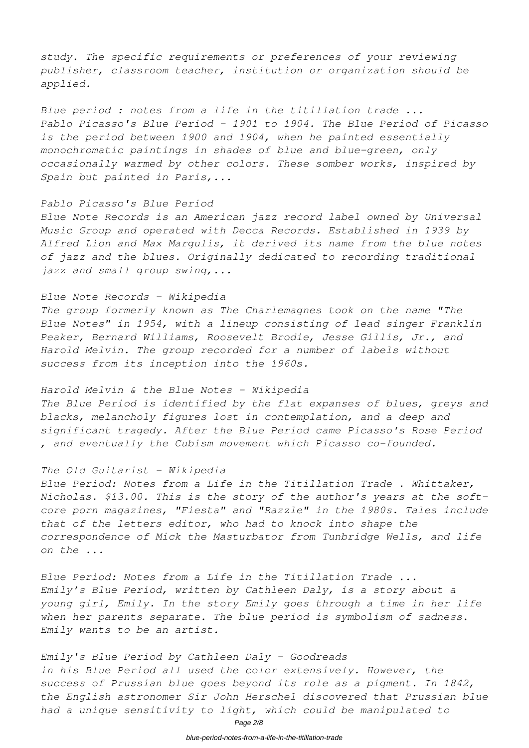*study. The specific requirements or preferences of your reviewing publisher, classroom teacher, institution or organization should be applied.*

*Blue period : notes from a life in the titillation trade ... Pablo Picasso's Blue Period - 1901 to 1904. The Blue Period of Picasso is the period between 1900 and 1904, when he painted essentially monochromatic paintings in shades of blue and blue-green, only occasionally warmed by other colors. These somber works, inspired by Spain but painted in Paris,...*

#### *Pablo Picasso's Blue Period*

*Blue Note Records is an American jazz record label owned by Universal Music Group and operated with Decca Records. Established in 1939 by Alfred Lion and Max Margulis, it derived its name from the blue notes of jazz and the blues. Originally dedicated to recording traditional jazz and small group swing,...*

### *Blue Note Records - Wikipedia*

*The group formerly known as The Charlemagnes took on the name "The Blue Notes" in 1954, with a lineup consisting of lead singer Franklin Peaker, Bernard Williams, Roosevelt Brodie, Jesse Gillis, Jr., and Harold Melvin. The group recorded for a number of labels without success from its inception into the 1960s.*

#### *Harold Melvin & the Blue Notes - Wikipedia*

*The Blue Period is identified by the flat expanses of blues, greys and blacks, melancholy figures lost in contemplation, and a deep and significant tragedy. After the Blue Period came Picasso's Rose Period , and eventually the Cubism movement which Picasso co-founded.*

#### *The Old Guitarist - Wikipedia*

*Blue Period: Notes from a Life in the Titillation Trade . Whittaker, Nicholas. \$13.00. This is the story of the author's years at the softcore porn magazines, "Fiesta" and "Razzle" in the 1980s. Tales include that of the letters editor, who had to knock into shape the correspondence of Mick the Masturbator from Tunbridge Wells, and life on the ...*

*Blue Period: Notes from a Life in the Titillation Trade ... Emily's Blue Period, written by Cathleen Daly, is a story about a young girl, Emily. In the story Emily goes through a time in her life when her parents separate. The blue period is symbolism of sadness. Emily wants to be an artist.*

### *Emily's Blue Period by Cathleen Daly - Goodreads*

*in his Blue Period all used the color extensively. However, the success of Prussian blue goes beyond its role as a pigment. In 1842, the English astronomer Sir John Herschel discovered that Prussian blue had a unique sensitivity to light, which could be manipulated to*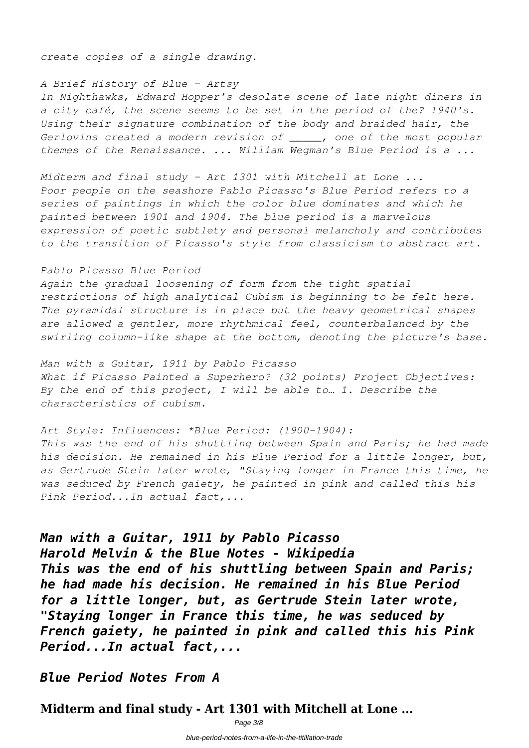*create copies of a single drawing.*

### *A Brief History of Blue - Artsy*

*In Nighthawks, Edward Hopper's desolate scene of late night diners in a city café, the scene seems to be set in the period of the? 1940's. Using their signature combination of the body and braided hair, the Gerlovins created a modern revision of \_\_\_\_\_, one of the most popular themes of the Renaissance. ... William Wegman's Blue Period is a ...*

*Midterm and final study - Art 1301 with Mitchell at Lone ... Poor people on the seashore Pablo Picasso's Blue Period refers to a series of paintings in which the color blue dominates and which he painted between 1901 and 1904. The blue period is a marvelous expression of poetic subtlety and personal melancholy and contributes to the transition of Picasso's style from classicism to abstract art.*

#### *Pablo Picasso Blue Period*

*Again the gradual loosening of form from the tight spatial restrictions of high analytical Cubism is beginning to be felt here. The pyramidal structure is in place but the heavy geometrical shapes are allowed a gentler, more rhythmical feel, counterbalanced by the swirling column-like shape at the bottom, denoting the picture's base.*

*Man with a Guitar, 1911 by Pablo Picasso What if Picasso Painted a Superhero? (32 points) Project Objectives: By the end of this project, I will be able to… 1. Describe the characteristics of cubism.*

*Art Style: Influences: \*Blue Period: (1900-1904): This was the end of his shuttling between Spain and Paris; he had made his decision. He remained in his Blue Period for a little longer, but, as Gertrude Stein later wrote, "Staying longer in France this time, he was seduced by French gaiety, he painted in pink and called this his Pink Period...In actual fact,...*

## *Man with a Guitar, 1911 by Pablo Picasso*

*Harold Melvin & the Blue Notes - Wikipedia This was the end of his shuttling between Spain and Paris; he had made his decision. He remained in his Blue Period for a little longer, but, as Gertrude Stein later wrote, "Staying longer in France this time, he was seduced by French gaiety, he painted in pink and called this his Pink Period...In actual fact,...*

*Blue Period Notes From A*

**Midterm and final study - Art 1301 with Mitchell at Lone ...**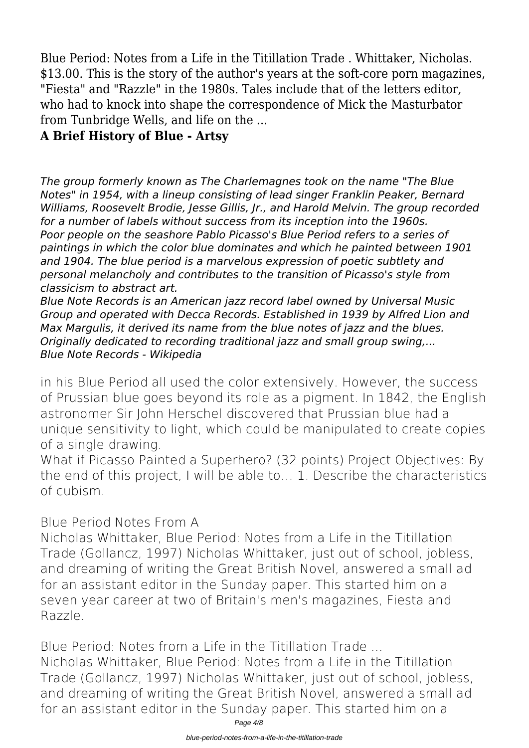Blue Period: Notes from a Life in the Titillation Trade . Whittaker, Nicholas. \$13.00. This is the story of the author's years at the soft-core porn magazines, "Fiesta" and "Razzle" in the 1980s. Tales include that of the letters editor, who had to knock into shape the correspondence of Mick the Masturbator from Tunbridge Wells, and life on the ...

## **A Brief History of Blue - Artsy**

*The group formerly known as The Charlemagnes took on the name "The Blue Notes" in 1954, with a lineup consisting of lead singer Franklin Peaker, Bernard Williams, Roosevelt Brodie, Jesse Gillis, Jr., and Harold Melvin. The group recorded for a number of labels without success from its inception into the 1960s. Poor people on the seashore Pablo Picasso's Blue Period refers to a series of paintings in which the color blue dominates and which he painted between 1901 and 1904. The blue period is a marvelous expression of poetic subtlety and personal melancholy and contributes to the transition of Picasso's style from classicism to abstract art.*

*Blue Note Records is an American jazz record label owned by Universal Music Group and operated with Decca Records. Established in 1939 by Alfred Lion and Max Margulis, it derived its name from the blue notes of jazz and the blues. Originally dedicated to recording traditional jazz and small group swing,... Blue Note Records - Wikipedia*

in his Blue Period all used the color extensively. However, the success of Prussian blue goes beyond its role as a pigment. In 1842, the English astronomer Sir John Herschel discovered that Prussian blue had a unique sensitivity to light, which could be manipulated to create copies of a single drawing.

What if Picasso Painted a Superhero? (32 points) Project Objectives: By the end of this project, I will be able to… 1. Describe the characteristics of cubism.

**Blue Period Notes From A**

Nicholas Whittaker, Blue Period: Notes from a Life in the Titillation Trade (Gollancz, 1997) Nicholas Whittaker, just out of school, jobless, and dreaming of writing the Great British Novel, answered a small ad for an assistant editor in the Sunday paper. This started him on a seven year career at two of Britain's men's magazines, Fiesta and Razzle.

**Blue Period: Notes from a Life in the Titillation Trade ...**

Nicholas Whittaker, Blue Period: Notes from a Life in the Titillation Trade (Gollancz, 1997) Nicholas Whittaker, just out of school, jobless, and dreaming of writing the Great British Novel, answered a small ad for an assistant editor in the Sunday paper. This started him on a

Page 4/8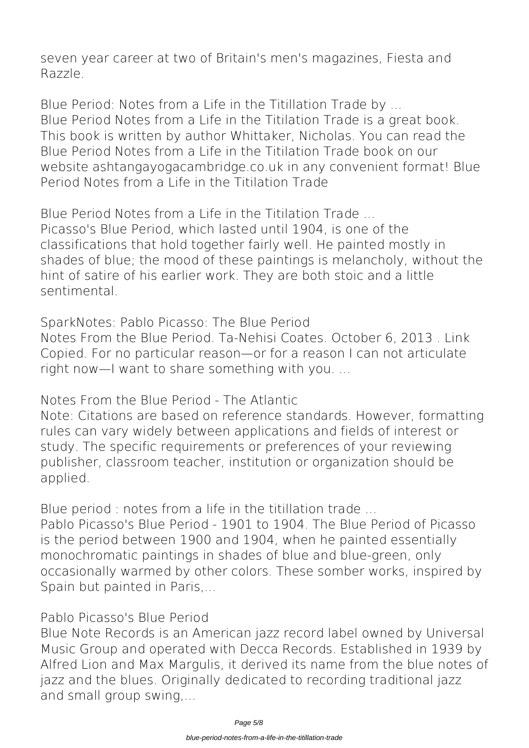seven year career at two of Britain's men's magazines, Fiesta and Razzle.

**Blue Period: Notes from a Life in the Titillation Trade by ...** Blue Period Notes from a Life in the Titilation Trade is a great book. This book is written by author Whittaker, Nicholas. You can read the Blue Period Notes from a Life in the Titilation Trade book on our website ashtangayogacambridge.co.uk in any convenient format! Blue Period Notes from a Life in the Titilation Trade

**Blue Period Notes from a Life in the Titilation Trade ...** Picasso's Blue Period, which lasted until 1904, is one of the classifications that hold together fairly well. He painted mostly in shades of blue; the mood of these paintings is melancholy, without the hint of satire of his earlier work. They are both stoic and a little sentimental.

**SparkNotes: Pablo Picasso: The Blue Period**

Notes From the Blue Period. Ta-Nehisi Coates. October 6, 2013 . Link Copied. For no particular reason—or for a reason I can not articulate right now—I want to share something with you. ...

**Notes From the Blue Period - The Atlantic**

Note: Citations are based on reference standards. However, formatting rules can vary widely between applications and fields of interest or study. The specific requirements or preferences of your reviewing publisher, classroom teacher, institution or organization should be applied.

**Blue period : notes from a life in the titillation trade ...**

Pablo Picasso's Blue Period - 1901 to 1904. The Blue Period of Picasso is the period between 1900 and 1904, when he painted essentially monochromatic paintings in shades of blue and blue-green, only occasionally warmed by other colors. These somber works, inspired by Spain but painted in Paris,...

### **Pablo Picasso's Blue Period**

Blue Note Records is an American jazz record label owned by Universal Music Group and operated with Decca Records. Established in 1939 by Alfred Lion and Max Margulis, it derived its name from the blue notes of jazz and the blues. Originally dedicated to recording traditional jazz and small group swing,...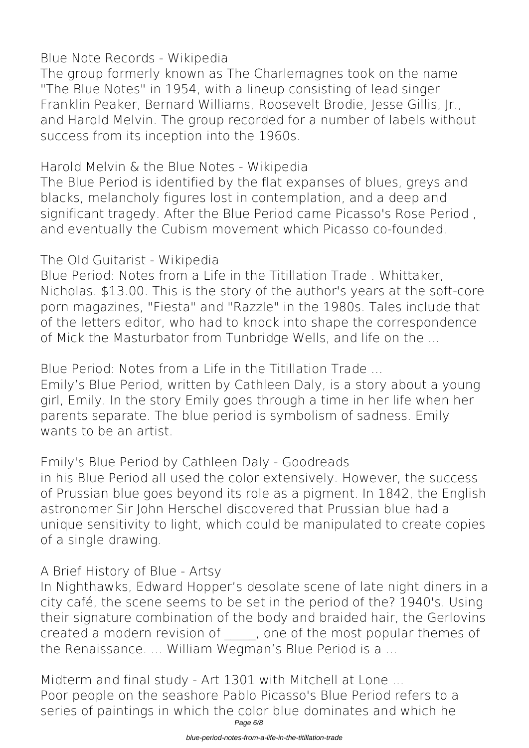## **Blue Note Records - Wikipedia**

The group formerly known as The Charlemagnes took on the name "The Blue Notes" in 1954, with a lineup consisting of lead singer Franklin Peaker, Bernard Williams, Roosevelt Brodie, Jesse Gillis, Jr., and Harold Melvin. The group recorded for a number of labels without success from its inception into the 1960s.

**Harold Melvin & the Blue Notes - Wikipedia**

The Blue Period is identified by the flat expanses of blues, greys and blacks, melancholy figures lost in contemplation, and a deep and significant tragedy. After the Blue Period came Picasso's Rose Period , and eventually the Cubism movement which Picasso co-founded.

# **The Old Guitarist - Wikipedia**

Blue Period: Notes from a Life in the Titillation Trade . Whittaker, Nicholas. \$13.00. This is the story of the author's years at the soft-core porn magazines, "Fiesta" and "Razzle" in the 1980s. Tales include that of the letters editor, who had to knock into shape the correspondence of Mick the Masturbator from Tunbridge Wells, and life on the ...

**Blue Period: Notes from a Life in the Titillation Trade ...**

Emily's Blue Period, written by Cathleen Daly, is a story about a young girl, Emily. In the story Emily goes through a time in her life when her parents separate. The blue period is symbolism of sadness. Emily wants to be an artist.

**Emily's Blue Period by Cathleen Daly - Goodreads**

in his Blue Period all used the color extensively. However, the success of Prussian blue goes beyond its role as a pigment. In 1842, the English astronomer Sir John Herschel discovered that Prussian blue had a unique sensitivity to light, which could be manipulated to create copies of a single drawing.

# **A Brief History of Blue - Artsy**

In Nighthawks, Edward Hopper's desolate scene of late night diners in a city café, the scene seems to be set in the period of the? 1940's. Using their signature combination of the body and braided hair, the Gerlovins created a modern revision of \_\_\_\_\_, one of the most popular themes of the Renaissance. ... William Wegman's Blue Period is a ...

**Midterm and final study - Art 1301 with Mitchell at Lone ...** Poor people on the seashore Pablo Picasso's Blue Period refers to a series of paintings in which the color blue dominates and which he Page 6/8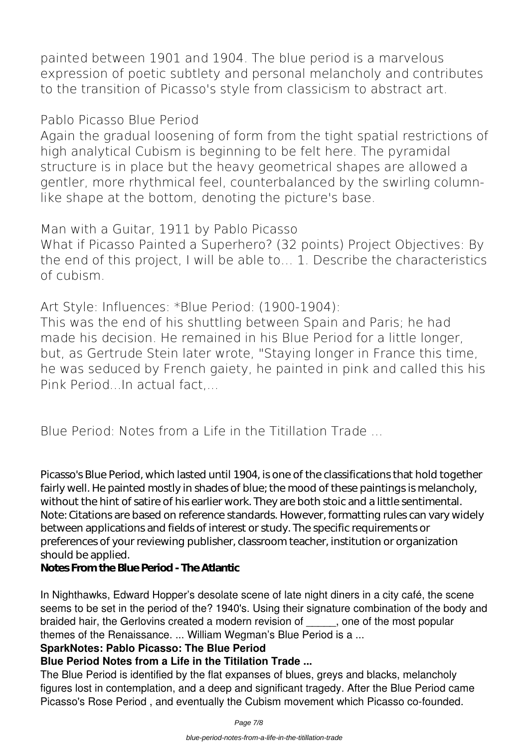painted between 1901 and 1904. The blue period is a marvelous expression of poetic subtlety and personal melancholy and contributes to the transition of Picasso's style from classicism to abstract art.

### **Pablo Picasso Blue Period**

Again the gradual loosening of form from the tight spatial restrictions of high analytical Cubism is beginning to be felt here. The pyramidal structure is in place but the heavy geometrical shapes are allowed a gentler, more rhythmical feel, counterbalanced by the swirling columnlike shape at the bottom, denoting the picture's base.

**Man with a Guitar, 1911 by Pablo Picasso**

What if Picasso Painted a Superhero? (32 points) Project Objectives: By the end of this project, I will be able to… 1. Describe the characteristics of cubism.

**Art Style: Influences: \*Blue Period: (1900-1904):**

This was the end of his shuttling between Spain and Paris; he had made his decision. He remained in his Blue Period for a little longer, but, as Gertrude Stein later wrote, "Staying longer in France this time, he was seduced by French gaiety, he painted in pink and called this his Pink Period...In actual fact,...

**Blue Period: Notes from a Life in the Titillation Trade ...**

Picasso's Blue Period, which lasted until 1904, is one of the classifications that hold together fairly well. He painted mostly in shades of blue; the mood of these paintings is melancholy, without the hint of satire of his earlier work. They are both stoic and a little sentimental. Note: Citations are based on reference standards. However, formatting rules can vary widely between applications and fields of interest or study. The specific requirements or preferences of your reviewing publisher, classroom teacher, institution or organization should be applied.

### **Notes From the Blue Period - The Atlantic**

In Nighthawks, Edward Hopper's desolate scene of late night diners in a city café, the scene seems to be set in the period of the? 1940's. Using their signature combination of the body and braided hair, the Gerlovins created a modern revision of each one of the most popular themes of the Renaissance. ... William Wegman's Blue Period is a ...

### **SparkNotes: Pablo Picasso: The Blue Period**

## **Blue Period Notes from a Life in the Titilation Trade ...**

The Blue Period is identified by the flat expanses of blues, greys and blacks, melancholy figures lost in contemplation, and a deep and significant tragedy. After the Blue Period came Picasso's Rose Period , and eventually the Cubism movement which Picasso co-founded.